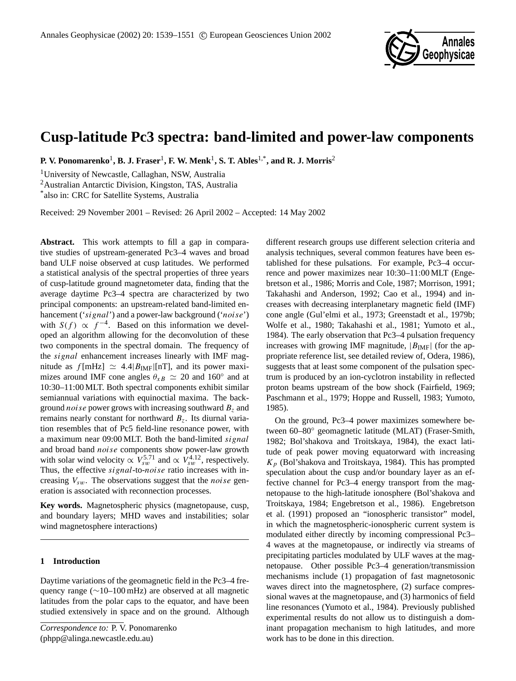

# **Cusp-latitude Pc3 spectra: band-limited and power-law components**

**P. V. Ponomarenko**<sup>1</sup> **, B. J. Fraser**<sup>1</sup> **, F. W. Menk**<sup>1</sup> **, S. T. Ables**1,\***, and R. J. Morris**<sup>2</sup>

<sup>1</sup>University of Newcastle, Callaghan, NSW, Australia

<sup>2</sup>Australian Antarctic Division, Kingston, TAS, Australia

\* also in: CRC for Satellite Systems, Australia

Received: 29 November 2001 – Revised: 26 April 2002 – Accepted: 14 May 2002

Abstract. This work attempts to fill a gap in comparative studies of upstream-generated Pc3–4 waves and broad band ULF noise observed at cusp latitudes. We performed a statistical analysis of the spectral properties of three years of cusp-latitude ground magnetometer data, finding that the average daytime Pc3–4 spectra are characterized by two principal components: an upstream-related band-limited enhancement ('signal') and a power-law background ('noise') with  $S(f) \propto f^{-4}$ . Based on this information we developed an algorithm allowing for the deconvolution of these two components in the spectral domain. The frequency of the signal enhancement increases linearly with IMF magnitude as  $f[mHz] \simeq 4.4|B_{IMF}|[nT]$ , and its power maximizes around IMF cone angles  $\theta_{xB} \simeq 20$  and 160° and at 10:30–11:00 MLT. Both spectral components exhibit similar semiannual variations with equinoctial maxima. The background *noise* power grows with increasing southward  $B<sub>z</sub>$  and remains nearly constant for northward  $B_z$ . Its diurnal variation resembles that of Pc5 field-line resonance power, with a maximum near 09:00 MLT. Both the band-limited signal and broad band noise components show power-law growth with solar wind velocity  $\propto V_{sw}^{5.71}$  and  $\propto V_{sw}^{4.12}$ , respectively. Thus, the effective signal-to-noise ratio increases with increasing  $V_{sw}$ . The observations suggest that the *noise* generation is associated with reconnection processes.

**Key words.** Magnetospheric physics (magnetopause, cusp, and boundary layers; MHD waves and instabilities; solar wind magnetosphere interactions)

# **1 Introduction**

Daytime variations of the geomagnetic field in the Pc3–4 frequency range (∼10–100 mHz) are observed at all magnetic latitudes from the polar caps to the equator, and have been studied extensively in space and on the ground. Although

*Correspondence to:* P. V. Ponomarenko (phpp@alinga.newcastle.edu.au)

different research groups use different selection criteria and analysis techniques, several common features have been established for these pulsations. For example, Pc3–4 occurrence and power maximizes near 10:30–11:00 MLT (Engebretson et al., 1986; Morris and Cole, 1987; Morrison, 1991; Takahashi and Anderson, 1992; Cao et al., 1994) and increases with decreasing interplanetary magnetic field (IMF) cone angle (Gul'elmi et al., 1973; Greenstadt et al., 1979b; Wolfe et al., 1980; Takahashi et al., 1981; Yumoto et al., 1984). The early observation that Pc3–4 pulsation frequency increases with growing IMF magnitude,  $|B_{\text{IMF}}|$  (for the appropriate reference list, see detailed review of, Odera, 1986), suggests that at least some component of the pulsation spectrum is produced by an ion-cyclotron instability in reflected proton beams upstream of the bow shock (Fairfield, 1969; Paschmann et al., 1979; Hoppe and Russell, 1983; Yumoto, 1985).

On the ground, Pc3–4 power maximizes somewhere between 60–80◦ geomagnetic latitude (MLAT) (Fraser-Smith, 1982; Bol'shakova and Troitskaya, 1984), the exact latitude of peak power moving equatorward with increasing  $K_p$  (Bol'shakova and Troitskaya, 1984). This has prompted speculation about the cusp and/or boundary layer as an effective channel for Pc3–4 energy transport from the magnetopause to the high-latitude ionosphere (Bol'shakova and Troitskaya, 1984; Engebretson et al., 1986). Engebretson et al. (1991) proposed an "ionospheric transistor" model, in which the magnetospheric-ionospheric current system is modulated either directly by incoming compressional Pc3– 4 waves at the magnetopause, or indirectly via streams of precipitating particles modulated by ULF waves at the magnetopause. Other possible Pc3–4 generation/transmission mechanisms include (1) propagation of fast magnetosonic waves direct into the magnetosphere, (2) surface compressional waves at the magnetopause, and (3) harmonics of field line resonances (Yumoto et al., 1984). Previously published experimental results do not allow us to distinguish a dominant propagation mechanism to high latitudes, and more work has to be done in this direction.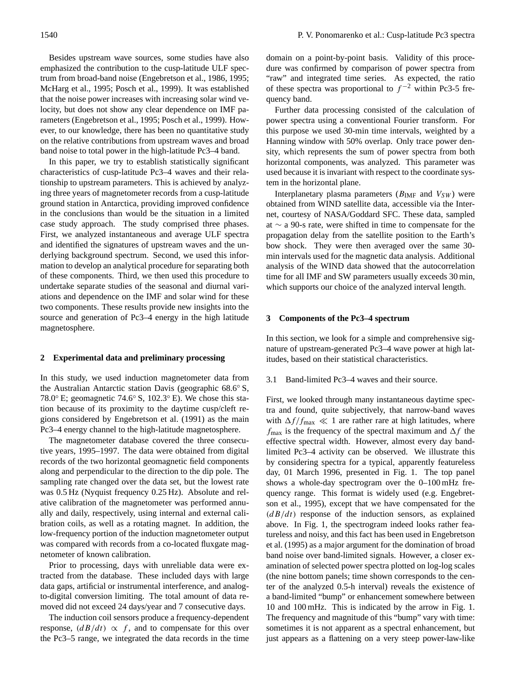Besides upstream wave sources, some studies have also emphasized the contribution to the cusp-latitude ULF spectrum from broad-band noise (Engebretson et al., 1986, 1995; McHarg et al., 1995; Posch et al., 1999). It was established that the noise power increases with increasing solar wind velocity, but does not show any clear dependence on IMF parameters (Engebretson et al., 1995; Posch et al., 1999). However, to our knowledge, there has been no quantitative study on the relative contributions from upstream waves and broad band noise to total power in the high-latitude Pc3–4 band.

In this paper, we try to establish statistically significant characteristics of cusp-latitude Pc3–4 waves and their relationship to upstream parameters. This is achieved by analyzing three years of magnetometer records from a cusp-latitude ground station in Antarctica, providing improved confidence in the conclusions than would be the situation in a limited case study approach. The study comprised three phases. First, we analyzed instantaneous and average ULF spectra and identified the signatures of upstream waves and the underlying background spectrum. Second, we used this information to develop an analytical procedure for separating both of these components. Third, we then used this procedure to undertake separate studies of the seasonal and diurnal variations and dependence on the IMF and solar wind for these two components. These results provide new insights into the source and generation of Pc3–4 energy in the high latitude magnetosphere.

#### **2 Experimental data and preliminary processing**

In this study, we used induction magnetometer data from the Australian Antarctic station Davis (geographic 68.6◦ S, 78.0◦ E; geomagnetic 74.6◦ S, 102.3◦ E). We chose this station because of its proximity to the daytime cusp/cleft regions considered by Engebretson et al. (1991) as the main Pc3–4 energy channel to the high-latitude magnetosphere.

The magnetometer database covered the three consecutive years, 1995–1997. The data were obtained from digital records of the two horizontal geomagnetic field components along and perpendicular to the direction to the dip pole. The sampling rate changed over the data set, but the lowest rate was 0.5 Hz (Nyquist frequency 0.25 Hz). Absolute and relative calibration of the magnetometer was performed annually and daily, respectively, using internal and external calibration coils, as well as a rotating magnet. In addition, the low-frequency portion of the induction magnetometer output was compared with records from a co-located fluxgate magnetometer of known calibration.

Prior to processing, days with unreliable data were extracted from the database. These included days with large data gaps, artificial or instrumental interference, and analogto-digital conversion limiting. The total amount of data removed did not exceed 24 days/year and 7 consecutive days.

The induction coil sensors produce a frequency-dependent response,  $\left(dB/dt\right) \propto f$ , and to compensate for this over the Pc3–5 range, we integrated the data records in the time domain on a point-by-point basis. Validity of this procedure was confirmed by comparison of power spectra from "raw" and integrated time series. As expected, the ratio of these spectra was proportional to  $f^{-2}$  within Pc3-5 frequency band.

Further data processing consisted of the calculation of power spectra using a conventional Fourier transform. For this purpose we used 30-min time intervals, weighted by a Hanning window with 50% overlap. Only trace power density, which represents the sum of power spectra from both horizontal components, was analyzed. This parameter was used because it is invariant with respect to the coordinate system in the horizontal plane.

Interplanetary plasma parameters ( $B_{\text{IMF}}$  and  $V_{SW}$ ) were obtained from WIND satellite data, accessible via the Internet, courtesy of NASA/Goddard SFC. These data, sampled at ∼ a 90-s rate, were shifted in time to compensate for the propagation delay from the satellite position to the Earth's bow shock. They were then averaged over the same 30 min intervals used for the magnetic data analysis. Additional analysis of the WIND data showed that the autocorrelation time for all IMF and SW parameters usually exceeds 30 min, which supports our choice of the analyzed interval length.

#### **3 Components of the Pc3–4 spectrum**

In this section, we look for a simple and comprehensive signature of upstream-generated Pc3–4 wave power at high latitudes, based on their statistical characteristics.

#### 3.1 Band-limited Pc3–4 waves and their source.

First, we looked through many instantaneous daytime spectra and found, quite subjectively, that narrow-band waves with  $\Delta f/f_{\text{max}} \ll 1$  are rather rare at high latitudes, where  $f_{\text{max}}$  is the frequency of the spectral maximum and  $\Delta f$  the effective spectral width. However, almost every day bandlimited Pc3–4 activity can be observed. We illustrate this by considering spectra for a typical, apparently featureless day, 01 March 1996, presented in Fig. 1. The top panel shows a whole-day spectrogram over the 0–100 mHz frequency range. This format is widely used (e.g. Engebretson et al., 1995), except that we have compensated for the  $\left(dB/dt\right)$  response of the induction sensors, as explained above. In Fig. 1, the spectrogram indeed looks rather featureless and noisy, and this fact has been used in Engebretson et al. (1995) as a major argument for the domination of broad band noise over band-limited signals. However, a closer examination of selected power spectra plotted on log-log scales (the nine bottom panels; time shown corresponds to the center of the analyzed 0.5-h interval) reveals the existence of a band-limited "bump" or enhancement somewhere between 10 and 100 mHz. This is indicated by the arrow in Fig. 1. The frequency and magnitude of this "bump" vary with time: sometimes it is not apparent as a spectral enhancement, but just appears as a flattening on a very steep power-law-like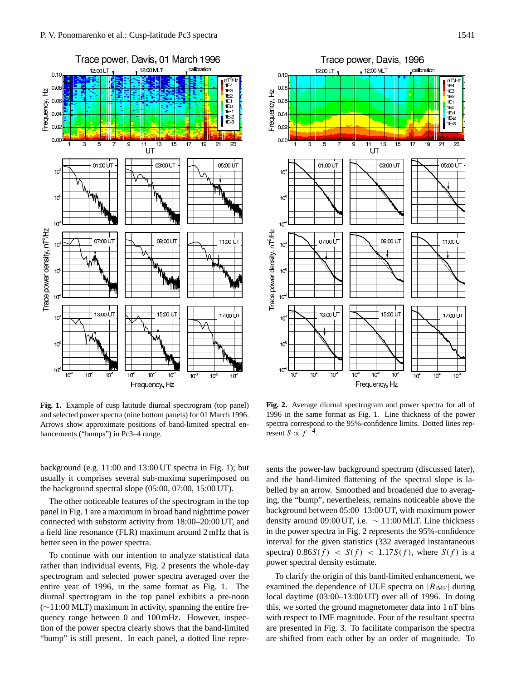

**Fig. 1.** Example of cusp latitude diurnal spectrogram (top panel) and selected power spectra (nine bottom panels) for 01 March 1996. Arrows show approximate positions of band-limited spectral enhancements ("bumps") in Pc3-4 range.

background (e.g. 11:00 and 13:00 UT spectra in Fig. 1); but usually it comprises several sub-maxima superimposed on the background spectral slope (05:00, 07:00, 15:00 UT).

The other noticeable features of the spectrogram in the top panel in Fig. 1 are a maximum in broad band nighttime power connected with substorm activity from 18:00–20:00 UT, and a field line resonance (FLR) maximum around 2 mHz that is better seen in the power spectra.

To continue with our intention to analyze statistical data rather than individual events, Fig. 2 presents the whole-day spectrogram and selected power spectra averaged over the entire year of 1996, in the same format as Fig. 1. The diurnal spectrogram in the top panel exhibits a pre-noon (∼11:00 MLT) maximum in activity, spanning the entire frequency range between 0 and 100 mHz. However, inspection of the power spectra clearly shows that the band-limited "bump" is still present. In each panel, a dotted line repre-



**Fig. 2.** Average diurnal spectrogram and power spectra for all of 1996 in the same format as Fig. 1. Line thickness of the power spectra correspond to the 95%-confidence limits. Dotted lines represent  $S \propto f^{-4}$ .

sents the power-law background spectrum (discussed later), and the band-limited flattening of the spectral slope is labelled by an arrow. Smoothed and broadened due to averaging, the "bump", nevertheless, remains noticeable above the background between 05:00–13:00 UT, with maximum power density around 09:00 UT, i.e.  $\sim 11:00$  MLT. Line thickness in the power spectra in Fig. 2 represents the 95%-confidence interval for the given statistics (332 averaged instantaneous spectra)  $0.86S(f) < S(f) < 1.17S(f)$ , where  $S(f)$  is a power spectral density estimate.

To clarify the origin of this band-limited enhancement, we examined the dependence of ULF spectra on  $|B_{IMF}|$  during local daytime (03:00–13:00 UT) over all of 1996. In doing this, we sorted the ground magnetometer data into 1 nT bins with respect to IMF magnitude. Four of the resultant spectra are presented in Fig. 3. To facilitate comparison the spectra are shifted from each other by an order of magnitude. To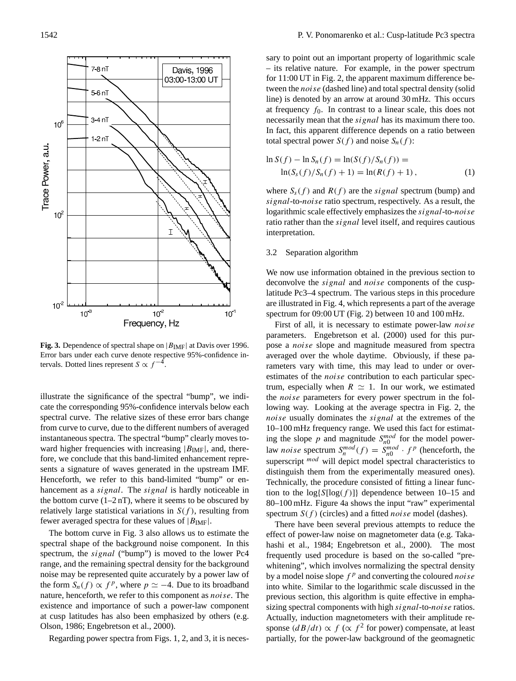

**Fig. 3.** Dependence of spectral shape on  $|B_{\text{IMF}}|$  at Davis over 1996. Error bars under each curve denote respective 95%-confidence intervals. Dotted lines represent  $S \propto f^{-4}$ .

illustrate the significance of the spectral "bump", we indicate the corresponding 95%-confidence intervals below each spectral curve. The relative sizes of these error bars change from curve to curve, due to the different numbers of averaged instantaneous spectra. The spectral "bump" clearly moves toward higher frequencies with increasing  $|B_{IMF}|$ , and, therefore, we conclude that this band-limited enhancement represents a signature of waves generated in the upstream IMF. Henceforth, we refer to this band-limited "bump" or enhancement as a *signal*. The *signal* is hardly noticeable in the bottom curve  $(1-2 nT)$ , where it seems to be obscured by relatively large statistical variations in  $S(f)$ , resulting from fewer averaged spectra for these values of  $|B_{\text{IMF}}|$ .

The bottom curve in Fig. 3 also allows us to estimate the spectral shape of the background noise component. In this spectrum, the *signal* ("bump") is moved to the lower Pc4 range, and the remaining spectral density for the background noise may be represented quite accurately by a power law of the form  $S_n(f) \propto f^p$ , where  $p \simeq -4$ . Due to its broadband nature, henceforth, we refer to this component as noise. The existence and importance of such a power-law component at cusp latitudes has also been emphasized by others (e.g. Olson, 1986; Engebretson et al., 2000).

Regarding power spectra from Figs. 1, 2, and 3, it is neces-

sary to point out an important property of logarithmic scale – its relative nature. For example, in the power spectrum for 11:00 UT in Fig. 2, the apparent maximum difference between the noise (dashed line) and total spectral density (solid line) is denoted by an arrow at around 30 mHz. This occurs at frequency  $f_0$ . In contrast to a linear scale, this does not necessarily mean that the *signal* has its maximum there too. In fact, this apparent difference depends on a ratio between total spectral power  $S(f)$  and noise  $S_n(f)$ :

$$
\ln S(f) - \ln S_n(f) = \ln(S(f)/S_n(f)) =
$$
  
 
$$
\ln(S_s(f)/S_n(f) + 1) = \ln(R(f) + 1),
$$
 (1)

where  $S<sub>s</sub>(f)$  and  $R(f)$  are the *signal* spectrum (bump) and signal-to-noise ratio spectrum, respectively. As a result, the logarithmic scale effectively emphasizes the signal-to-noise ratio rather than the *signal* level itself, and requires cautious interpretation.

#### 3.2 Separation algorithm

We now use information obtained in the previous section to deconvolve the signal and noise components of the cusplatitude Pc3–4 spectrum. The various steps in this procedure are illustrated in Fig. 4, which represents a part of the average spectrum for 09:00 UT (Fig. 2) between 10 and 100 mHz.

First of all, it is necessary to estimate power-law noise parameters. Engebretson et al. (2000) used for this purpose a noise slope and magnitude measured from spectra averaged over the whole daytime. Obviously, if these parameters vary with time, this may lead to under or overestimates of the *noise* contribution to each particular spectrum, especially when  $R \simeq 1$ . In our work, we estimated the noise parameters for every power spectrum in the following way. Looking at the average spectra in Fig. 2, the noise usually dominates the *signal* at the extremes of the 10–100 mHz frequency range. We used this fact for estimating the slope p and magnitude  $S_{n0}^{mod}$  for the model powerlaw *noise* spectrum  $S_n^{mod}(f) = S_{n0}^{mod} \cdot f^p$  (henceforth, the superscript  $\frac{mod}{ }$  will depict model spectral characteristics to distinguish them from the experimentally measured ones). Technically, the procedure consisted of fitting a linear function to the  $log{S[log(f)]}$  dependence between 10–15 and 80–100 mHz. Figure 4a shows the input "raw" experimental spectrum  $S(f)$  (circles) and a fitted *noise* model (dashes).

There have been several previous attempts to reduce the effect of power-law noise on magnetometer data (e.g. Takahashi et al., 1984; Engebretson et al., 2000). The most frequently used procedure is based on the so-called "prewhitening", which involves normalizing the spectral density by a model noise slope  $f^p$  and converting the coloured noise into white. Similar to the logarithmic scale discussed in the previous section, this algorithm is quite effective in emphasizing spectral components with high *signal*-to-*noise* ratios. Actually, induction magnetometers with their amplitude response  $\left(\frac{dB}{dt}\right) \propto f$  ( $\propto f^2$  for power) compensate, at least partially, for the power-law background of the geomagnetic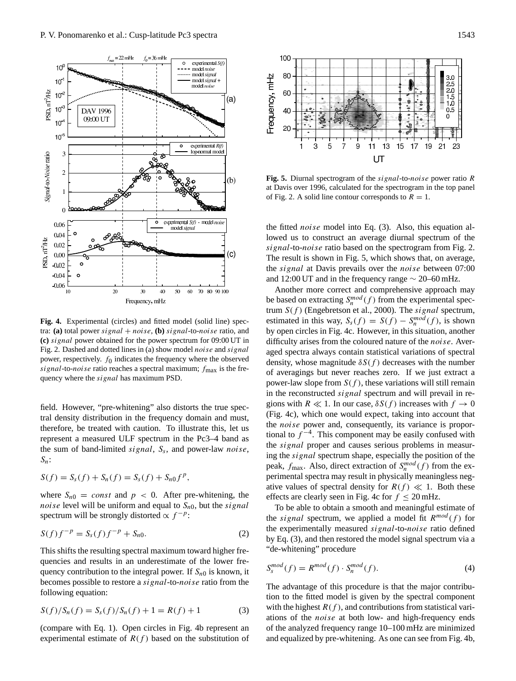

**Fig. 4.** Experimental (circles) and fitted model (solid line) spectra: **(a)** total power signal  $+ noise$ , **(b)** signal-to-noise ratio, and **(c)** signal power obtained for the power spectrum for 09:00 UT in Fig. 2. Dashed and dotted lines in (a) show model noise and signal power, respectively.  $f_0$  indicates the frequency where the observed signal-to-noise ratio reaches a spectral maximum;  $f_{\text{max}}$  is the frequency where the signal has maximum PSD.

field. However, "pre-whitening" also distorts the true spectral density distribution in the frequency domain and must, therefore, be treated with caution. To illustrate this, let us represent a measured ULF spectrum in the Pc3–4 band as the sum of band-limited *signal*,  $S_s$ , and power-law *noise*,  $S_n$ :

$$
S(f) = S_s(f) + S_n(f) = S_s(f) + S_{n0}f^p,
$$

where  $S_{n0} = const$  and  $p < 0$ . After pre-whitening, the *noise* level will be uniform and equal to  $S_{n0}$ , but the *signal* spectrum will be strongly distorted  $\propto f^{-p}$ :

$$
S(f)f^{-p} = S_s(f)f^{-p} + S_{n0}.
$$
 (2)

This shifts the resulting spectral maximum toward higher frequencies and results in an underestimate of the lower frequency contribution to the integral power. If  $S_{n0}$  is known, it becomes possible to restore a signal-to-noise ratio from the following equation:

$$
S(f)/S_n(f) = S_s(f)/S_n(f) + 1 = R(f) + 1
$$
 (3)

(compare with Eq. 1). Open circles in Fig. 4b represent an experimental estimate of  $R(f)$  based on the substitution of



**Fig. 5.** Diurnal spectrogram of the signal-to-noise power ratio R at Davis over 1996, calculated for the spectrogram in the top panel of Fig. 2. A solid line contour corresponds to  $R = 1$ .

the fitted noise model into Eq. (3). Also, this equation allowed us to construct an average diurnal spectrum of the signal-to-noise ratio based on the spectrogram from Fig. 2. The result is shown in Fig. 5, which shows that, on average, the signal at Davis prevails over the noise between 07:00 and 12:00 UT and in the frequency range  $\sim$  20–60 mHz.

Another more correct and comprehensive approach may be based on extracting  $S_n^{mod}(f)$  from the experimental spectrum  $S(f)$  (Engebretson et al., 2000). The signal spectrum, estimated in this way,  $S_s(f) = S(f) - S_n^{mod}(f)$ , is shown by open circles in Fig. 4c. However, in this situation, another difficulty arises from the coloured nature of the noise. Averaged spectra always contain statistical variations of spectral density, whose magnitude  $\delta S(f)$  decreases with the number of averagings but never reaches zero. If we just extract a power-law slope from  $S(f)$ , these variations will still remain in the reconstructed *signal* spectrum and will prevail in regions with  $R \ll 1$ . In our case,  $\delta S(f)$  increases with  $f \to 0$ (Fig. 4c), which one would expect, taking into account that the noise power and, consequently, its variance is proportional to  $f^{-4}$ . This component may be easily confused with the signal proper and causes serious problems in measuring the signal spectrum shape, especially the position of the peak,  $f_{\text{max}}$ . Also, direct extraction of  $S_n^{mod}(f)$  from the experimental spectra may result in physically meaningless negative values of spectral density for  $R(f) \ll 1$ . Both these effects are clearly seen in Fig. 4c for  $f \leq 20$  mHz.

To be able to obtain a smooth and meaningful estimate of the *signal* spectrum, we applied a model fit  $R^{mod}(f)$  for the experimentally measured signal-to-noise ratio defined by Eq. (3), and then restored the model signal spectrum via a "de-whitening" procedure

$$
S_s^{mod}(f) = R^{mod}(f) \cdot S_n^{mod}(f). \tag{4}
$$

The advantage of this procedure is that the major contribution to the fitted model is given by the spectral component with the highest  $R(f)$ , and contributions from statistical variations of the noise at both low- and high-frequency ends of the analyzed frequency range 10–100 mHz are minimized and equalized by pre-whitening. As one can see from Fig. 4b,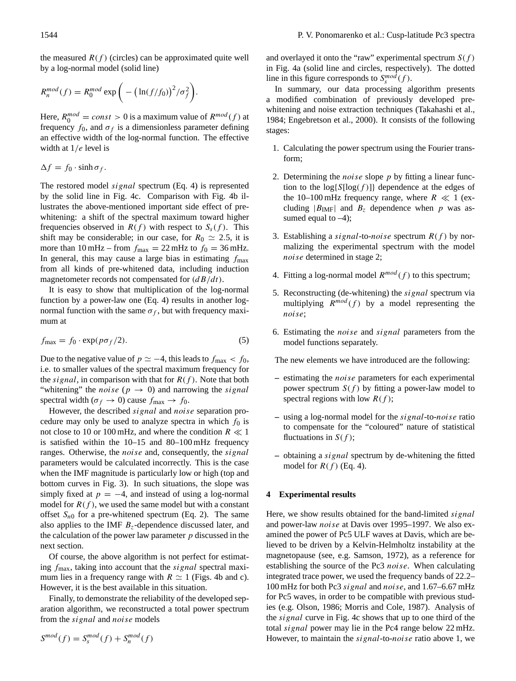the measured  $R(f)$  (circles) can be approximated quite well by a log-normal model (solid line)

$$
R_n^{mod}(f) = R_0^{mod} \exp\bigg(-\big(\ln(f/f_0)\big)^2/\sigma_f^2\bigg).
$$

Here,  $R_0^{mod} = const > 0$  is a maximum value of  $R^{mod}(f)$  at frequency  $f_0$ , and  $\sigma_f$  is a dimensionless parameter defining an effective width of the log-normal function. The effective width at  $1/e$  level is

$$
\Delta f = f_0 \cdot \sinh \sigma_f.
$$

The restored model signal spectrum (Eq. 4) is represented by the solid line in Fig. 4c. Comparison with Fig. 4b illustrates the above-mentioned important side effect of prewhitening: a shift of the spectral maximum toward higher frequencies observed in  $R(f)$  with respect to  $S<sub>s</sub>(f)$ . This shift may be considerable; in our case, for  $R_0 \simeq 2.5$ , it is more than  $10 \text{ mHz}$  – from  $f_{\text{max}} = 22 \text{ mHz}$  to  $f_0 = 36 \text{ mHz}$ . In general, this may cause a large bias in estimating  $f_{\text{max}}$ from all kinds of pre-whitened data, including induction magnetometer records not compensated for  $\left(\frac{dB}{dt}\right)$ .

It is easy to show that multiplication of the log-normal function by a power-law one (Eq. 4) results in another lognormal function with the same  $\sigma_f$ , but with frequency maximum at

$$
f_{\text{max}} = f_0 \cdot \exp(p \sigma_f / 2). \tag{5}
$$

Due to the negative value of  $p \simeq -4$ , this leads to  $f_{\text{max}} < f_0$ , i.e. to smaller values of the spectral maximum frequency for the *signal*, in comparison with that for  $R(f)$ . Note that both "whitening" the *noise* ( $p \rightarrow 0$ ) and narrowing the *signal* spectral width ( $\sigma_f \rightarrow 0$ ) cause  $f_{\text{max}} \rightarrow f_0$ .

However, the described signal and noise separation procedure may only be used to analyze spectra in which  $f_0$  is not close to 10 or 100 mHz, and where the condition  $R \ll 1$ is satisfied within the 10–15 and 80–100 mHz frequency ranges. Otherwise, the *noise* and, consequently, the *signal* parameters would be calculated incorrectly. This is the case when the IMF magnitude is particularly low or high (top and bottom curves in Fig. 3). In such situations, the slope was simply fixed at  $p = -4$ , and instead of using a log-normal model for  $R(f)$ , we used the same model but with a constant offset  $S_{n0}$  for a pre-whitened spectrum (Eq. 2). The same also applies to the IMF  $B<sub>z</sub>$ -dependence discussed later, and the calculation of the power law parameter  $p$  discussed in the next section.

Of course, the above algorithm is not perfect for estimating  $f_{\text{max}}$ , taking into account that the *signal* spectral maximum lies in a frequency range with  $R \simeq 1$  (Figs. 4b and c). However, it is the best available in this situation.

Finally, to demonstrate the reliability of the developed separation algorithm, we reconstructed a total power spectrum from the signal and noise models

and overlayed it onto the "raw" experimental spectrum  $S(f)$ in Fig. 4a (solid line and circles, respectively). The dotted line in this figure corresponds to  $S_s^{mod}(f)$ .

In summary, our data processing algorithm presents a modified combination of previously developed prewhitening and noise extraction techniques (Takahashi et al., 1984; Engebretson et al., 2000). It consists of the following stages:

- 1. Calculating the power spectrum using the Fourier transform;
- 2. Determining the *noise* slope  $p$  by fitting a linear function to the  $log[S[log(f)]]$  dependence at the edges of the 10–100 mHz frequency range, where  $R \ll 1$  (excluding  $|B_{\text{IMF}}|$  and  $B_z$  dependence when p was assumed equal to  $-4$ );
- 3. Establishing a *signal*-to-*noise* spectrum  $R(f)$  by normalizing the experimental spectrum with the model noise determined in stage 2;
- 4. Fitting a log-normal model  $R^{mod}(f)$  to this spectrum;
- 5. Reconstructing (de-whitening) the signal spectrum via multiplying  $R^{mod}(f)$  by a model representing the noise;
- 6. Estimating the noise and signal parameters from the model functions separately.

The new elements we have introduced are the following:

- **–** estimating the noise parameters for each experimental power spectrum  $S(f)$  by fitting a power-law model to spectral regions with low  $R(f)$ ;
- **–** using a log-normal model for the signal-to-noise ratio to compensate for the "coloured" nature of statistical fluctuations in  $S(f)$ ;
- **–** obtaining a signal spectrum by de-whitening the fitted model for  $R(f)$  (Eq. 4).

#### **4 Experimental results**

Here, we show results obtained for the band-limited *signal* and power-law noise at Davis over 1995–1997. We also examined the power of Pc5 ULF waves at Davis, which are believed to be driven by a Kelvin-Helmholtz instability at the magnetopause (see, e.g. Samson, 1972), as a reference for establishing the source of the Pc3 noise. When calculating integrated trace power, we used the frequency bands of 22.2– 100 mHz for both Pc3 signal and noise, and 1.67–6.67 mHz for Pc5 waves, in order to be compatible with previous studies (e.g. Olson, 1986; Morris and Cole, 1987). Analysis of the signal curve in Fig. 4c shows that up to one third of the total signal power may lie in the Pc4 range below 22 mHz. However, to maintain the signal-to-noise ratio above 1, we

$$
S^{mod}(f) = S_s^{mod}(f) + S_n^{mod}(f)
$$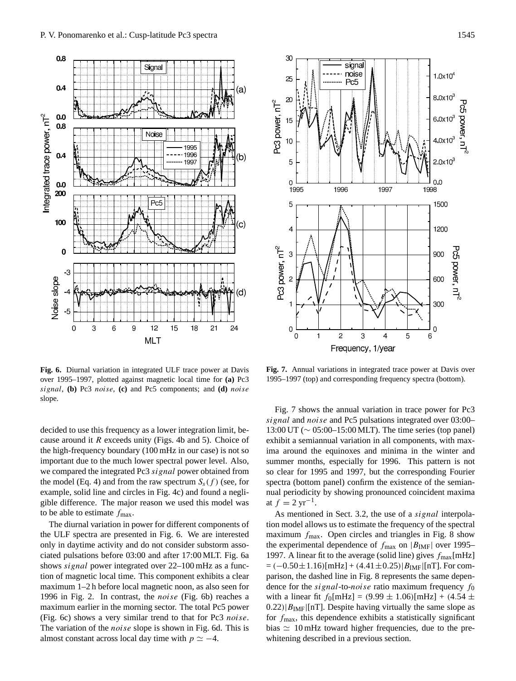



**Fig. 6.** Diurnal variation in integrated ULF trace power at Davis over 1995–1997, plotted against magnetic local time for **(a)** Pc3 signal, **(b)** Pc3 noise, **(c)** and Pc5 components; and **(d)** noise slope.

decided to use this frequency as a lower integration limit, because around it  $R$  exceeds unity (Figs. 4b and 5). Choice of the high-frequency boundary (100 mHz in our case) is not so important due to the much lower spectral power level. Also, we compared the integrated Pc3 signal power obtained from the model (Eq. 4) and from the raw spectrum  $S<sub>s</sub>(f)$  (see, for example, solid line and circles in Fig. 4c) and found a negligible difference. The major reason we used this model was to be able to estimate  $f_{\text{max}}$ .

The diurnal variation in power for different components of the ULF spectra are presented in Fig. 6. We are interested only in daytime activity and do not consider substorm associated pulsations before 03:00 and after 17:00 MLT. Fig. 6a shows signal power integrated over 22–100 mHz as a function of magnetic local time. This component exhibits a clear maximum 1–2 h before local magnetic noon, as also seen for 1996 in Fig. 2. In contrast, the noise (Fig. 6b) reaches a maximum earlier in the morning sector. The total Pc5 power (Fig. 6c) shows a very similar trend to that for Pc3 noise. The variation of the *noise* slope is shown in Fig. 6d. This is almost constant across local day time with  $p \simeq -4$ .

**Fig. 7.** Annual variations in integrated trace power at Davis over 1995–1997 (top) and corresponding frequency spectra (bottom).

Fig. 7 shows the annual variation in trace power for Pc3 signal and noise and Pc5 pulsations integrated over 03:00– 13:00 UT (∼ 05:00–15:00 MLT). The time series (top panel) exhibit a semiannual variation in all components, with maxima around the equinoxes and minima in the winter and summer months, especially for 1996. This pattern is not so clear for 1995 and 1997, but the corresponding Fourier spectra (bottom panel) confirm the existence of the semiannual periodicity by showing pronounced coincident maxima at  $f = 2 \text{ yr}^{-1}$ .

As mentioned in Sect. 3.2, the use of a *signal* interpolation model allows us to estimate the frequency of the spectral maximum  $f_{\text{max}}$ . Open circles and triangles in Fig. 8 show the experimental dependence of  $f_{\text{max}}$  on  $|B_{\text{IMF}}|$  over 1995– 1997. A linear fit to the average (solid line) gives  $f_{\text{max}}[\text{mHz}]$  $= (-0.50 \pm 1.16)$ [mHz] + (4.41±0.25)| $B_{IMF}$ [[nT]. For comparison, the dashed line in Fig. 8 represents the same dependence for the *signal*-to-*noise* ratio maximum frequency  $f_0$ with a linear fit  $f_0$ [mHz] = (9.99  $\pm$  1.06)[mHz] + (4.54  $\pm$  $0.22$ )| $B_{\text{IMF}}$ |[nT]. Despite having virtually the same slope as for  $f_{\text{max}}$ , this dependence exhibits a statistically significant bias  $\simeq 10$  mHz toward higher frequencies, due to the prewhitening described in a previous section.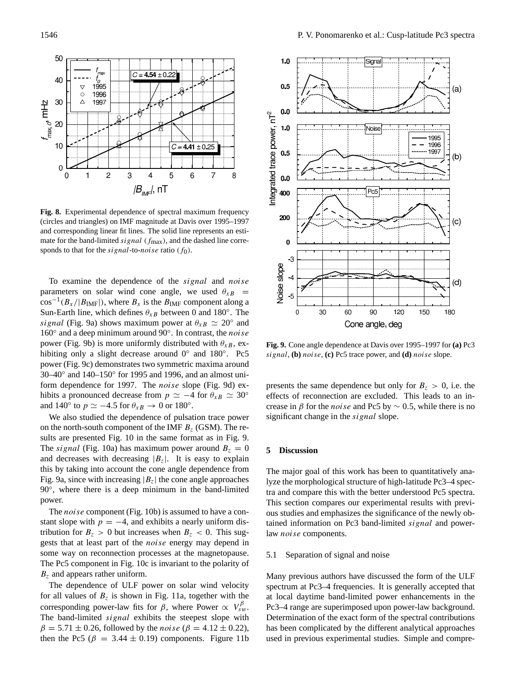

**Fig. 8.** Experimental dependence of spectral maximum frequency (circles and triangles) on IMF magnitude at Davis over 1995–1997 and corresponding linear fit lines. The solid line represents an estimate for the band-limited signal  $(f_{\text{max}})$ , and the dashed line corresponds to that for the *signal*-to-*noise* ratio  $(f_0)$ .

To examine the dependence of the signal and noise parameters on solar wind cone angle, we used  $\theta_{xB}$  =  $cos^{-1}(B_X/|B_{IMF}|)$ , where  $B_X$  is the  $B_{IMF}$  component along a Sun-Earth line, which defines  $\theta_{xB}$  between 0 and 180°. The signal (Fig. 9a) shows maximum power at  $\theta_{xB} \simeq 20^\circ$  and 160° and a deep minimum around 90°. In contrast, the noise power (Fig. 9b) is more uniformly distributed with  $\theta_{xB}$ , exhibiting only a slight decrease around 0° and 180°. Pc5 power (Fig. 9c) demonstrates two symmetric maxima around 30–40◦ and 140–150◦ for 1995 and 1996, and an almost uniform dependence for 1997. The noise slope (Fig. 9d) exhibits a pronounced decrease from  $p \simeq -4$  for  $\theta_{xB} \simeq 30^\circ$ and 140 $^{\circ}$  to  $p \simeq -4.5$  for  $\theta_{xB} \rightarrow 0$  or 180 $^{\circ}$ .

We also studied the dependence of pulsation trace power on the north-south component of the IMF  $B<sub>z</sub>$  (GSM). The results are presented Fig. 10 in the same format as in Fig. 9. The *signal* (Fig. 10a) has maximum power around  $B_z = 0$ and decreases with decreasing  $|B_z|$ . It is easy to explain this by taking into account the cone angle dependence from Fig. 9a, since with increasing  $|B_z|$  the cone angle approaches 90°, where there is a deep minimum in the band-limited power.

The *noise* component (Fig. 10b) is assumed to have a constant slope with  $p = -4$ , and exhibits a nearly uniform distribution for  $B_z > 0$  but increases when  $B_z < 0$ . This suggests that at least part of the noise energy may depend in some way on reconnection processes at the magnetopause. The Pc5 component in Fig. 10c is invariant to the polarity of  $B<sub>z</sub>$  and appears rather uniform.

The dependence of ULF power on solar wind velocity for all values of  $B_z$  is shown in Fig. 11a, together with the corresponding power-law fits for  $\beta$ , where Power  $\propto V_{sw}^{\beta}$ . The band-limited signal exhibits the steepest slope with  $β = 5.71 ± 0.26$ , followed by the *noise* ( $β = 4.12 ± 0.22$ ), then the Pc5 ( $\beta = 3.44 \pm 0.19$ ) components. Figure 11b



**Fig. 9.** Cone angle dependence at Davis over 1995–1997 for **(a)** Pc3 signal, **(b)** noise, **(c)** Pc5 trace power, and **(d)** noise slope.

presents the same dependence but only for  $B_z > 0$ , i.e. the effects of reconnection are excluded. This leads to an increase in  $\beta$  for the *noise* and Pc5 by  $\sim$  0.5, while there is no significant change in the *signal* slope.

# **5 Discussion**

The major goal of this work has been to quantitatively analyze the morphological structure of high-latitude Pc3–4 spectra and compare this with the better understood Pc5 spectra. This section compares our experimental results with previous studies and emphasizes the significance of the newly obtained information on Pc3 band-limited *signal* and powerlaw noise components.

# 5.1 Separation of signal and noise

Many previous authors have discussed the form of the ULF spectrum at Pc3–4 frequencies. It is generally accepted that at local daytime band-limited power enhancements in the Pc3–4 range are superimposed upon power-law background. Determination of the exact form of the spectral contributions has been complicated by the different analytical approaches used in previous experimental studies. Simple and compre-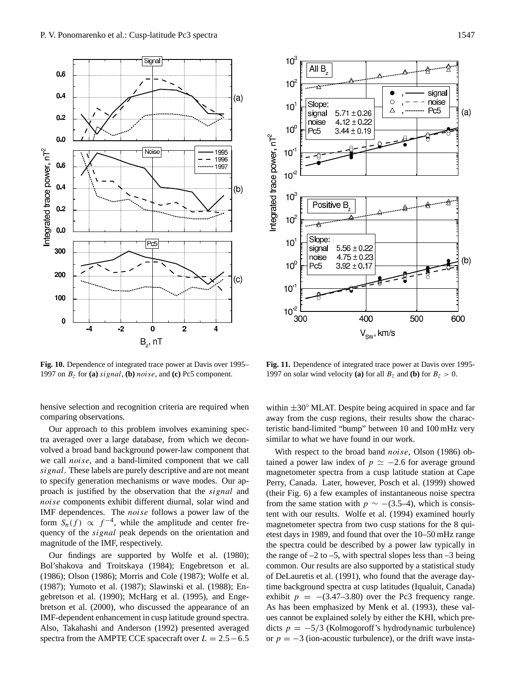

**Fig. 10.** Dependence of integrated trace power at Davis over 1995– 1997 on  $B_z$  for (a) signal, (b) noise, and (c) Pc5 component.

hensive selection and recognition criteria are required when comparing observations.

Our approach to this problem involves examining spectra averaged over a large database, from which we deconvolved a broad band background power-law component that we call noise, and a band-limited component that we call signal. These labels are purely descriptive and are not meant to specify generation mechanisms or wave modes. Our approach is justified by the observation that the signal and noise components exhibit different diurnal, solar wind and IMF dependences. The noise follows a power law of the form  $S_n(f) \propto f^{-4}$ , while the amplitude and center frequency of the *signal* peak depends on the orientation and magnitude of the IMF, respectively.

Our findings are supported by Wolfe et al. (1980); Bol'shakova and Troitskaya (1984); Engebretson et al. (1986); Olson (1986); Morris and Cole (1987); Wolfe et al. (1987); Yumoto et al. (1987); Slawinski et al. (1988); Engebretson et al. (1990); McHarg et al. (1995), and Engebretson et al. (2000), who discussed the appearance of an IMF-dependent enhancement in cusp latitude ground spectra. Also, Takahashi and Anderson (1992) presented averaged spectra from the AMPTE CCE spacecraft over  $L = 2.5 - 6.5$ 



**Fig. 11.** Dependence of integrated trace power at Davis over 1995- 1997 on solar wind velocity (a) for all  $B_z$  and (b) for  $B_z > 0$ .

within  $\pm 30^\circ$  MLAT. Despite being acquired in space and far away from the cusp regions, their results show the characteristic band-limited "bump" between 10 and 100 mHz very similar to what we have found in our work.

With respect to the broad band *noise*, Olson (1986) obtained a power law index of  $p \simeq -2.6$  for average ground magnetometer spectra from a cusp latitude station at Cape Perry, Canada. Later, however, Posch et al. (1999) showed (their Fig. 6) a few examples of instantaneous noise spectra from the same station with  $p \sim -(3.5-4)$ , which is consistent with our results. Wolfe et al. (1994) examined hourly magnetometer spectra from two cusp stations for the 8 quietest days in 1989, and found that over the 10–50 mHz range the spectra could be described by a power law typically in the range of  $-2$  to  $-5$ , with spectral slopes less than  $-3$  being common. Our results are also supported by a statistical study of DeLauretis et al. (1991), who found that the average daytime background spectra at cusp latitudes (Iqualuit, Canada) exhibit  $p = -(3.47-3.80)$  over the Pc3 frequency range. As has been emphasized by Menk et al. (1993), these values cannot be explained solely by either the KHI, which predicts  $p = -5/3$  (Kolmogoroff's hydrodynamic turbulence) or  $p = -3$  (ion-acoustic turbulence), or the drift wave insta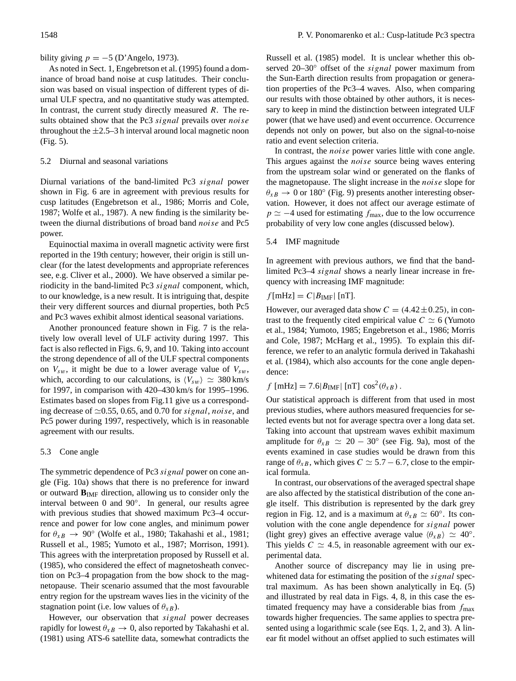bility giving  $p = -5$  (D'Angelo, 1973).

As noted in Sect. 1, Engebretson et al. (1995) found a dominance of broad band noise at cusp latitudes. Their conclusion was based on visual inspection of different types of diurnal ULF spectra, and no quantitative study was attempted. In contrast, the current study directly measured  $R$ . The results obtained show that the Pc3 signal prevails over noise throughout the  $\pm 2.5$ –3 h interval around local magnetic noon (Fig. 5).

# 5.2 Diurnal and seasonal variations

Diurnal variations of the band-limited Pc3 signal power shown in Fig. 6 are in agreement with previous results for cusp latitudes (Engebretson et al., 1986; Morris and Cole, 1987; Wolfe et al., 1987). A new finding is the similarity between the diurnal distributions of broad band noise and Pc5 power.

Equinoctial maxima in overall magnetic activity were first reported in the 19th century; however, their origin is still unclear (for the latest developments and appropriate references see, e.g. Cliver et al., 2000). We have observed a similar periodicity in the band-limited Pc3 signal component, which, to our knowledge, is a new result. It is intriguing that, despite their very different sources and diurnal properties, both Pc5 and Pc3 waves exhibit almost identical seasonal variations.

Another pronounced feature shown in Fig. 7 is the relatively low overall level of ULF activity during 1997. This fact is also reflected in Figs. 6, 9, and 10. Taking into account the strong dependence of all of the ULF spectral components on  $V_{sw}$ , it might be due to a lower average value of  $V_{sw}$ , which, according to our calculations, is  $\langle V_{sw} \rangle \simeq 380 \text{ km/s}$ for 1997, in comparison with 420–430 km/s for 1995–1996. Estimates based on slopes from Fig.11 give us a corresponding decrease of  $\simeq 0.55$ , 0.65, and 0.70 for signal, noise, and Pc5 power during 1997, respectively, which is in reasonable agreement with our results.

# 5.3 Cone angle

The symmetric dependence of Pc3 signal power on cone angle (Fig. 10a) shows that there is no preference for inward or outward **B**IMF direction, allowing us to consider only the interval between 0 and 90◦ . In general, our results agree with previous studies that showed maximum Pc3–4 occurrence and power for low cone angles, and minimum power for  $\theta_{xB} \rightarrow 90^\circ$  (Wolfe et al., 1980; Takahashi et al., 1981; Russell et al., 1985; Yumoto et al., 1987; Morrison, 1991). This agrees with the interpretation proposed by Russell et al. (1985), who considered the effect of magnetosheath convection on Pc3–4 propagation from the bow shock to the magnetopause. Their scenario assumed that the most favourable entry region for the upstream waves lies in the vicinity of the stagnation point (i.e. low values of  $\theta_{xB}$ ).

However, our observation that *signal* power decreases rapidly for lowest  $\theta_{xB} \rightarrow 0$ , also reported by Takahashi et al. (1981) using ATS-6 satellite data, somewhat contradicts the Russell et al. (1985) model. It is unclear whether this observed 20–30° offset of the *signal* power maximum from the Sun-Earth direction results from propagation or generation properties of the Pc3–4 waves. Also, when comparing our results with those obtained by other authors, it is necessary to keep in mind the distinction between integrated ULF power (that we have used) and event occurrence. Occurrence depends not only on power, but also on the signal-to-noise ratio and event selection criteria.

In contrast, the noise power varies little with cone angle. This argues against the *noise* source being waves entering from the upstream solar wind or generated on the flanks of the magnetopause. The slight increase in the noise slope for  $\theta_{xB} \rightarrow 0$  or 180 $^{\circ}$  (Fig. 9) presents another interesting observation. However, it does not affect our average estimate of  $p \simeq -4$  used for estimating  $f_{\text{max}}$ , due to the low occurrence probability of very low cone angles (discussed below).

# 5.4 IMF magnitude

In agreement with previous authors, we find that the bandlimited Pc3–4 signal shows a nearly linear increase in frequency with increasing IMF magnitude:

# $f[{\rm mHz}] = C|B_{\rm IMF}|$  [nT].

However, our averaged data show  $C = (4.42 \pm 0.25)$ , in contrast to the frequently cited empirical value  $C \simeq 6$  (Yumoto et al., 1984; Yumoto, 1985; Engebretson et al., 1986; Morris and Cole, 1987; McHarg et al., 1995). To explain this difference, we refer to an analytic formula derived in Takahashi et al. (1984), which also accounts for the cone angle dependence:

# $f$  [mHz] = 7.6| $B_{\text{IMF}}$ | [nT]  $\cos^2(\theta_{xB})$ .

Our statistical approach is different from that used in most previous studies, where authors measured frequencies for selected events but not for average spectra over a long data set. Taking into account that upstream waves exhibit maximum amplitude for  $\theta_{xB} \simeq 20 - 30^{\circ}$  (see Fig. 9a), most of the events examined in case studies would be drawn from this range of  $\theta_{xB}$ , which gives  $C \simeq 5.7 - 6.7$ , close to the empirical formula.

In contrast, our observations of the averaged spectral shape are also affected by the statistical distribution of the cone angle itself. This distribution is represented by the dark grey region in Fig. 12, and is a maximum at  $\theta_{xB} \simeq 60^\circ$ . Its convolution with the cone angle dependence for signal power (light grey) gives an effective average value  $\langle \theta_{xB} \rangle \simeq 40^\circ$ . This yields  $C \simeq 4.5$ , in reasonable agreement with our experimental data.

Another source of discrepancy may lie in using prewhitened data for estimating the position of the *signal* spectral maximum. As has been shown analytically in Eq. (5) and illustrated by real data in Figs. 4, 8, in this case the estimated frequency may have a considerable bias from  $f_{\text{max}}$ towards higher frequencies. The same applies to spectra presented using a logarithmic scale (see Eqs. 1, 2, and 3). A linear fit model without an offset applied to such estimates will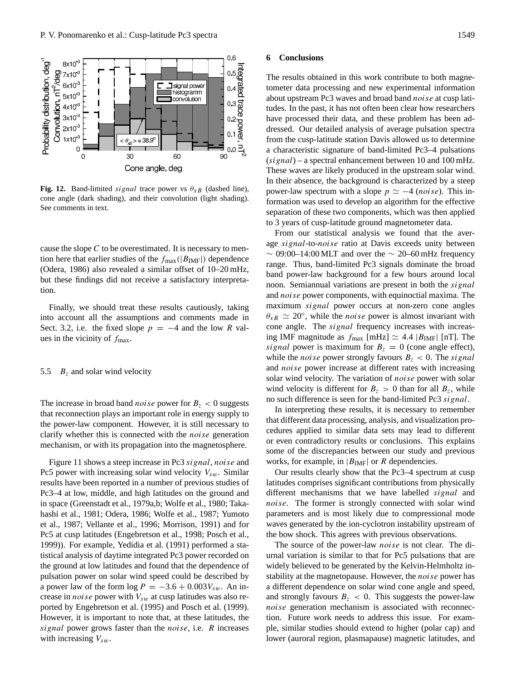

**Fig. 12.** Band-limited signal trace power vs  $\theta_{XB}$  (dashed line), cone angle (dark shading), and their convolution (light shading). See comments in text.

cause the slope  $C$  to be overestimated. It is necessary to mention here that earlier studies of the  $f_{\text{max}}(|B_{\text{IMF}}|)$  dependence (Odera, 1986) also revealed a similar offset of 10–20 mHz, but these findings did not receive a satisfactory interpretation.

Finally, we should treat these results cautiously, taking into account all the assumptions and comments made in Sect. 3.2, i.e. the fixed slope  $p = -4$  and the low R values in the vicinity of  $f_{\text{max}}$ .

#### 5.5  $B_z$  and solar wind velocity

The increase in broad band *noise* power for  $B_z < 0$  suggests that reconnection plays an important role in energy supply to the power-law component. However, it is still necessary to clarify whether this is connected with the noise generation mechanism, or with its propagation into the magnetosphere.

Figure 11 shows a steep increase in Pc3 signal, noise and Pc5 power with increasing solar wind velocity  $V_{sw}$ . Similar results have been reported in a number of previous studies of Pc3–4 at low, middle, and high latitudes on the ground and in space (Greenstadt et al., 1979a,b; Wolfe et al., 1980; Takahashi et al., 1981; Odera, 1986; Wolfe et al., 1987; Yumoto et al., 1987; Vellante et al., 1996; Morrison, 1991) and for Pc5 at cusp latitudes (Engebretson et al., 1998; Posch et al., 1999)). For example, Yedidia et al. (1991) performed a statistical analysis of daytime integrated Pc3 power recorded on the ground at low latitudes and found that the dependence of pulsation power on solar wind speed could be described by a power law of the form  $\log P = -3.6 + 0.003V_{sw}$ . An increase in *noise* power with  $V_{sw}$  at cusp latitudes was also reported by Engebretson et al. (1995) and Posch et al. (1999). However, it is important to note that, at these latitudes, the signal power grows faster than the *noise*, i.e. R increases with increasing  $V_{sw}$ .

#### **6 Conclusions**

The results obtained in this work contribute to both magnetometer data processing and new experimental information about upstream Pc3 waves and broad band noise at cusp latitudes. In the past, it has not often been clear how researchers have processed their data, and these problem has been addressed. Our detailed analysis of average pulsation spectra from the cusp-latitude station Davis allowed us to determine a characteristic signature of band-limited Pc3–4 pulsations  $(signal)$  – a spectral enhancement between 10 and 100 mHz. These waves are likely produced in the upstream solar wind. In their absence, the background is characterized by a steep power-law spectrum with a slope  $p \simeq -4$  (noise). This information was used to develop an algorithm for the effective separation of these two components, which was then applied to 3 years of cusp-latitude ground magnetometer data.

From our statistical analysis we found that the average signal-to-noise ratio at Davis exceeds unity between  $\sim 09:00-14:00$  MLT and over the  $\sim 20-60$  mHz frequency range. Thus, band-limited Pc3 signals dominate the broad band power-law background for a few hours around local noon. Semiannual variations are present in both the *signal* and noise power components, with equinoctial maxima. The maximum signal power occurs at non-zero cone angles  $\theta_{xB} \simeq 20^{\circ}$ , while the *noise* power is almost invariant with cone angle. The *signal* frequency increases with increasing IMF magnitude as  $f_{\text{max}}$  [mHz]  $\simeq$  4.4 |B<sub>IMF</sub>| [nT]. The signal power is maximum for  $B_z = 0$  (cone angle effect), while the *noise* power strongly favours  $B_z < 0$ . The *signal* and noise power increase at different rates with increasing solar wind velocity. The variation of *noise* power with solar wind velocity is different for  $B_z > 0$  than for all  $B_z$ , while no such difference is seen for the band-limited Pc3 signal.

In interpreting these results, it is necessary to remember that different data processing, analysis, and visualization procedures applied to similar data sets may lead to different or even contradictory results or conclusions. This explains some of the discrepancies between our study and previous works, for example, in  $|B_{\text{IMF}}|$  or R dependencies.

Our results clearly show that the Pc3–4 spectrum at cusp latitudes comprises significant contributions from physically different mechanisms that we have labelled signal and noise. The former is strongly connected with solar wind parameters and is most likely due to compressional mode waves generated by the ion-cyclotron instability upstream of the bow shock. This agrees with previous observations.

The source of the power-law *noise* is not clear. The diurnal variation is similar to that for Pc5 pulsations that are widely believed to be generated by the Kelvin-Helmholtz instability at the magnetopause. However, the noise power has a different dependence on solar wind cone angle and speed, and strongly favours  $B_z < 0$ . This suggests the power-law noise generation mechanism is associated with reconnection. Future work needs to address this issue. For example, similar studies should extend to higher (polar cap) and lower (auroral region, plasmapause) magnetic latitudes, and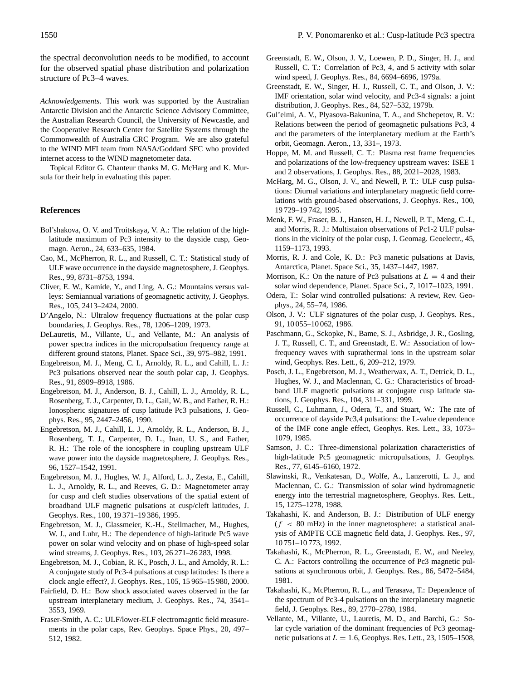the spectral deconvolution needs to be modified, to account for the observed spatial phase distribution and polarization structure of Pc3–4 waves.

*Acknowledgements.* This work was supported by the Australian Antarctic Division and the Antarctic Science Advisory Committee, the Australian Research Council, the University of Newcastle, and the Cooperative Research Center for Satellite Systems through the Commonwealth of Australia CRC Program. We are also grateful to the WIND MFI team from NASA/Goddard SFC who provided internet access to the WIND magnetometer data.

Topical Editor G. Chanteur thanks M. G. McHarg and K. Mursula for their help in evaluating this paper.

#### **References**

- Bol'shakova, O. V. and Troitskaya, V. A.: The relation of the highlatitude maximum of Pc3 intensity to the dayside cusp, Geomagn. Aeron., 24, 633–635, 1984.
- Cao, M., McPherron, R. L., and Russell, C. T.: Statistical study of ULF wave occurrence in the dayside magnetosphere, J. Geophys. Res., 99, 8731–8753, 1994.
- Cliver, E. W., Kamide, Y., and Ling, A. G.: Mountains versus valleys: Semiannual variations of geomagnetic activity, J. Geophys. Res., 105, 2413–2424, 2000.
- D'Angelo, N.: Ultralow frequency fluctuations at the polar cusp boundaries, J. Geophys. Res., 78, 1206–1209, 1973.
- DeLauretis, M., Villante, U., and Vellante, M.: An analysis of power spectra indices in the micropulsation frequency range at different ground statons, Planet. Space Sci., 39, 975–982, 1991.
- Engebretson, M. J., Meng, C. I., Arnoldy, R. L., and Cahill, L. J.: Pc3 pulsations observed near the south polar cap, J. Geophys. Res., 91, 8909–8918, 1986.
- Engebretson, M. J., Anderson, B. J., Cahill, L. J., Arnoldy, R. L., Rosenberg, T. J., Carpenter, D. L., Gail, W. B., and Eather, R. H.: Ionospheric signatures of cusp latitude Pc3 pulsations, J. Geophys. Res., 95, 2447–2456, 1990.
- Engebretson, M. J., Cahill, L. J., Arnoldy, R. L., Anderson, B. J., Rosenberg, T. J., Carpenter, D. L., Inan, U. S., and Eather, R. H.: The role of the ionosphere in coupling upstream ULF wave power into the dayside magnetosphere, J. Geophys. Res., 96, 1527–1542, 1991.
- Engebretson, M. J., Hughes, W. J., Alford, L. J., Zesta, E., Cahill, L. J., Arnoldy, R. L., and Reeves, G. D.: Magnetometer array for cusp and cleft studies observations of the spatial extent of broadband ULF magnetic pulsations at cusp/cleft latitudes, J. Geophys. Res., 100, 19 371–19 386, 1995.
- Engebretson, M. J., Glassmeier, K.-H., Stellmacher, M., Hughes, W. J., and Luhr, H.: The dependence of high-latitude Pc5 wave power on solar wind velocity and on phase of high-speed solar wind streams, J. Geophys. Res., 103, 26 271–26 283, 1998.
- Engebretson, M. J., Cobian, R. K., Posch, J. L., and Arnoldy, R. L.: A conjugate study of Pc3-4 pulsations at cusp latitudes: Is there a clock angle effect?, J. Geophys. Res., 105, 15 965–15 980, 2000.
- Fairfield, D. H.: Bow shock associated waves observed in the far upstream interplanetary medium, J. Geophys. Res., 74, 3541– 3553, 1969.
- Fraser-Smith, A. C.: ULF/lower-ELF electromagntic field measurements in the polar caps, Rev. Geophys. Space Phys., 20, 497– 512, 1982.
- Greenstadt, E. W., Olson, J. V., Loewen, P. D., Singer, H. J., and Russell, C. T.: Correlation of Pc3, 4, and 5 activity with solar wind speed, J. Geophys. Res., 84, 6694–6696, 1979a.
- Greenstadt, E. W., Singer, H. J., Russell, C. T., and Olson, J. V.: IMF orientation, solar wind velocity, and Pc3-4 signals: a joint distribution, J. Geophys. Res., 84, 527–532, 1979b.
- Gul'elmi, A. V., Plyasova-Bakunina, T. A., and Shchepetov, R. V.: Relations between the period of geomagnetic pulsations Pc3, 4 and the parameters of the interplanetary medium at the Earth's orbit, Geomagn. Aeron., 13, 331–, 1973.
- Hoppe, M. M. and Russell, C. T.: Plasma rest frame frequencies and polarizations of the low-frequency upstream waves: ISEE 1 and 2 observations, J. Geophys. Res., 88, 2021–2028, 1983.
- McHarg, M. G., Olson, J. V., and Newell, P. T.: ULF cusp pulsations: Diurnal variations and interplanetary magnetic field correlations with ground-based observations, J. Geophys. Res., 100, 19 729–19 742, 1995.
- Menk, F. W., Fraser, B. J., Hansen, H. J., Newell, P. T., Meng, C.-I., and Morris, R. J.: Multistaion observations of Pc1-2 ULF pulsations in the vicinity of the polar cusp, J. Geomag. Geoelectr., 45, 1159–1173, 1993.
- Morris, R. J. and Cole, K. D.: Pc3 manetic pulsations at Davis, Antarctica, Planet. Space Sci., 35, 1437–1447, 1987.
- Morrison, K.: On the nature of Pc3 pulsations at  $L = 4$  and their solar wind dependence, Planet. Space Sci., 7, 1017–1023, 1991.
- Odera, T.: Solar wind controlled pulsations: A review, Rev. Geophys., 24, 55–74, 1986.
- Olson, J. V.: ULF signatures of the polar cusp, J. Geophys. Res., 91, 10 055–10 062, 1986.
- Paschmann, G., Sckopke, N., Bame, S. J., Asbridge, J. R., Gosling, J. T., Russell, C. T., and Greenstadt, E. W.: Association of lowfrequency waves with suprathermal ions in the upstream solar wind, Geophys. Res. Lett., 6, 209–212, 1979.
- Posch, J. L., Engebretson, M. J., Weatherwax, A. T., Detrick, D. L., Hughes, W. J., and Maclennan, C. G.: Characteristics of broadband ULF magnetic pulsations at conjugate cusp latitude stations, J. Geophys. Res., 104, 311–331, 1999.
- Russell, C., Luhmann, J., Odera, T., and Stuart, W.: The rate of occurrence of dayside Pc3,4 pulsations: the L-value dependence of the IMF cone angle effect, Geophys. Res. Lett., 33, 1073– 1079, 1985.
- Samson, J. C.: Three-dimensional polarization characteristics of high-latitude Pc5 geomagnetic micropulsations, J. Geophys. Res., 77, 6145–6160, 1972.
- Slawinski, R., Venkatesan, D., Wolfe, A., Lanzerotti, L. J., and Maclennan, C. G.: Transmission of solar wind hydromagnetic energy into the terrestrial magnetosphere, Geophys. Res. Lett., 15, 1275–1278, 1988.
- Takahashi, K. and Anderson, B. J.: Distribution of ULF energy  $(f < 80$  mHz) in the inner magnetosphere: a statistical analysis of AMPTE CCE magnetic field data, J. Geophys. Res., 97, 10 751–10 773, 1992.
- Takahashi, K., McPherron, R. L., Greenstadt, E. W., and Neeley, C. A.: Factors controlling the occurrence of Pc3 magnetic pulsations at synchronous orbit, J. Geophys. Res., 86, 5472–5484, 1981.
- Takahashi, K., McPherron, R. L., and Terasava, T.: Dependence of the spectrum of Pc3-4 pulsations on the interplanetary magnetic field, J. Geophys. Res., 89, 2770–2780, 1984.
- Vellante, M., Villante, U., Lauretis, M. D., and Barchi, G.: Solar cycle variation of the dominant frequencies of Pc3 geomagnetic pulsations at  $L = 1.6$ , Geophys. Res. Lett., 23, 1505–1508,